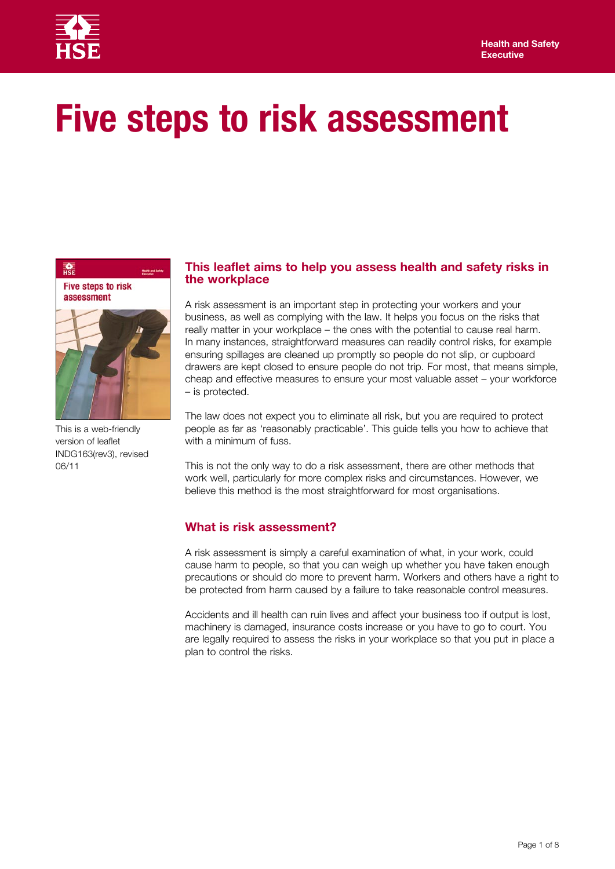

# **Five steps to risk assessment**



This is a web-friendly version of leaflet INDG163(rev3), revised 06/11

#### **This leaflet aims to help you assess health and safety risks in the workplace**

A risk assessment is an important step in protecting your workers and your business, as well as complying with the law. It helps you focus on the risks that really matter in your workplace – the ones with the potential to cause real harm. In many instances, straightforward measures can readily control risks, for example ensuring spillages are cleaned up promptly so people do not slip, or cupboard drawers are kept closed to ensure people do not trip. For most, that means simple, cheap and effective measures to ensure your most valuable asset – your workforce – is protected.

The law does not expect you to eliminate all risk, but you are required to protect people as far as 'reasonably practicable'. This guide tells you how to achieve that with a minimum of fuss.

This is not the only way to do a risk assessment, there are other methods that work well, particularly for more complex risks and circumstances. However, we believe this method is the most straightforward for most organisations.

# **What is risk assessment?**

A risk assessment is simply a careful examination of what, in your work, could cause harm to people, so that you can weigh up whether you have taken enough precautions or should do more to prevent harm. Workers and others have a right to be protected from harm caused by a failure to take reasonable control measures.

Accidents and ill health can ruin lives and affect your business too if output is lost, machinery is damaged, insurance costs increase or you have to go to court. You are legally required to assess the risks in your workplace so that you put in place a plan to control the risks.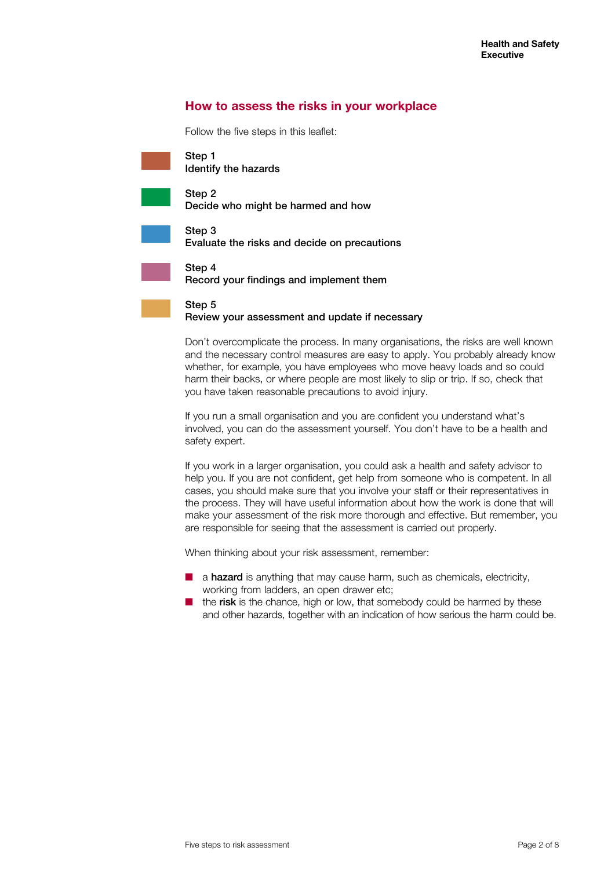## **How to assess the risks in your workplace**

Follow the five steps in this leaflet:

Step 1 Identify the hazards

Step 2 Decide who might be harmed and how

Step 3 Evaluate the risks and decide on precautions

Step 4 Record your findings and implement them

Step 5 Review your assessment and update if necessary

Don't overcomplicate the process. In many organisations, the risks are well known and the necessary control measures are easy to apply. You probably already know whether, for example, you have employees who move heavy loads and so could harm their backs, or where people are most likely to slip or trip. If so, check that you have taken reasonable precautions to avoid injury.

If you run a small organisation and you are confident you understand what's involved, you can do the assessment yourself. You don't have to be a health and safety expert.

If you work in a larger organisation, you could ask a health and safety advisor to help you. If you are not confident, get help from someone who is competent. In all cases, you should make sure that you involve your staff or their representatives in the process. They will have useful information about how the work is done that will make your assessment of the risk more thorough and effective. But remember, you are responsible for seeing that the assessment is carried out properly.

When thinking about your risk assessment, remember:

- a hazard is anything that may cause harm, such as chemicals, electricity, working from ladders, an open drawer etc;
- the risk is the chance, high or low, that somebody could be harmed by these and other hazards, together with an indication of how serious the harm could be.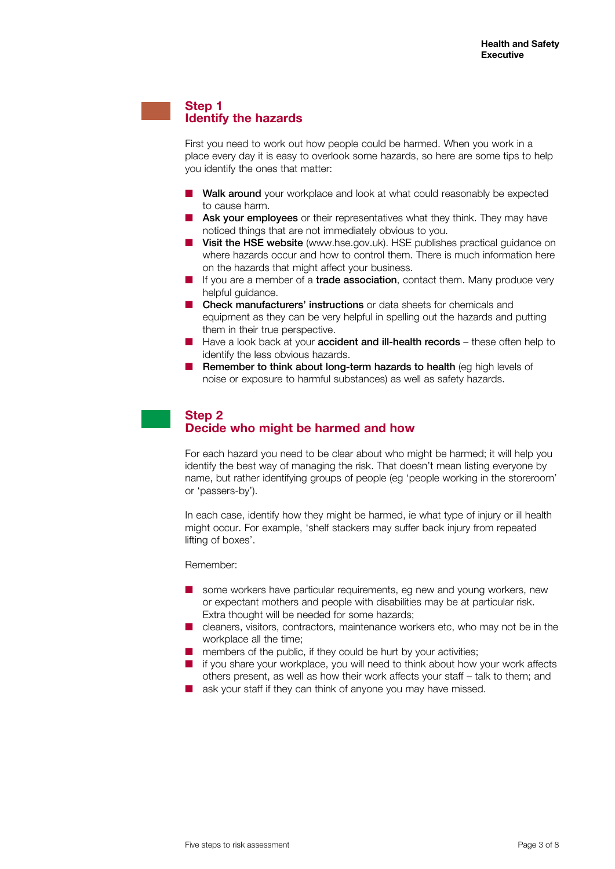### **Step 1 Identify the hazards**

First you need to work out how people could be harmed. When you work in a place every day it is easy to overlook some hazards, so here are some tips to help you identify the ones that matter:

- **Walk around** your workplace and look at what could reasonably be expected to cause harm.
- Ask your employees or their representatives what they think. They may have noticed things that are not immediately obvious to you.
- Visit the HSE website (www.hse.gov.uk). HSE publishes practical guidance on where hazards occur and how to control them. There is much information here on the hazards that might affect your business.
- If you are a member of a **trade association**, contact them. Many produce very helpful quidance.
- Check manufacturers' instructions or data sheets for chemicals and equipment as they can be very helpful in spelling out the hazards and putting them in their true perspective.
- Have a look back at your **accident and ill-health records** these often help to identify the less obvious hazards.
- Remember to think about long-term hazards to health (eg high levels of noise or exposure to harmful substances) as well as safety hazards.

## **Step 2 Decide who might be harmed and how**

For each hazard you need to be clear about who might be harmed; it will help you identify the best way of managing the risk. That doesn't mean listing everyone by name, but rather identifying groups of people (eg 'people working in the storeroom' or 'passers-by').

In each case, identify how they might be harmed, ie what type of injury or ill health might occur. For example, 'shelf stackers may suffer back injury from repeated lifting of boxes'.

Remember:

- some workers have particular requirements, eg new and young workers, new or expectant mothers and people with disabilities may be at particular risk. Extra thought will be needed for some hazards;
- cleaners, visitors, contractors, maintenance workers etc, who may not be in the workplace all the time;
- members of the public, if they could be hurt by your activities;
- if you share your workplace, you will need to think about how your work affects others present, as well as how their work affects your staff – talk to them; and
- ask your staff if they can think of anyone you may have missed.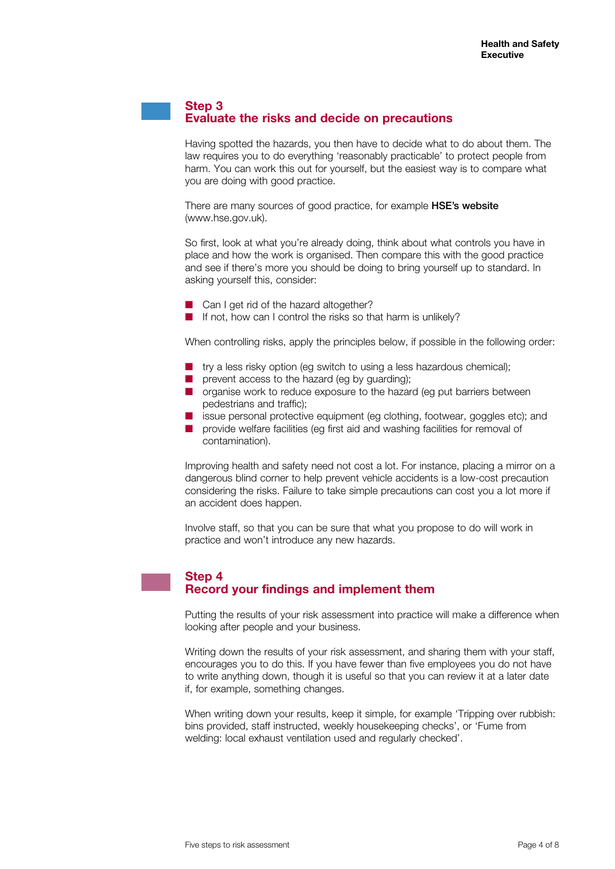#### **Step 3 Evaluate the risks and decide on precautions**

Having spotted the hazards, you then have to decide what to do about them. The law requires you to do everything 'reasonably practicable' to protect people from harm. You can work this out for yourself, but the easiest way is to compare what you are doing with good practice.

There are many sources of good practice, for example HSE's website (www.hse.gov.uk).

So first, look at what you're already doing, think about what controls you have in place and how the work is organised. Then compare this with the good practice and see if there's more you should be doing to bring yourself up to standard. In asking yourself this, consider:

- Can I get rid of the hazard altogether?
- If not, how can I control the risks so that harm is unlikely?

When controlling risks, apply the principles below, if possible in the following order:

- try a less risky option (eg switch to using a less hazardous chemical);
- prevent access to the hazard (eg by guarding);
- organise work to reduce exposure to the hazard (eg put barriers between pedestrians and traffic);
- issue personal protective equipment (eg clothing, footwear, goggles etc); and
- provide welfare facilities (eg first aid and washing facilities for removal of contamination).

Improving health and safety need not cost a lot. For instance, placing a mirror on a dangerous blind corner to help prevent vehicle accidents is a low-cost precaution considering the risks. Failure to take simple precautions can cost you a lot more if an accident does happen.

Involve staff, so that you can be sure that what you propose to do will work in practice and won't introduce any new hazards.

## **Step 4 Record your findings and implement them**

Putting the results of your risk assessment into practice will make a difference when looking after people and your business.

Writing down the results of your risk assessment, and sharing them with your staff, encourages you to do this. If you have fewer than five employees you do not have to write anything down, though it is useful so that you can review it at a later date if, for example, something changes.

When writing down your results, keep it simple, for example 'Tripping over rubbish: bins provided, staff instructed, weekly housekeeping checks', or 'Fume from welding: local exhaust ventilation used and regularly checked'.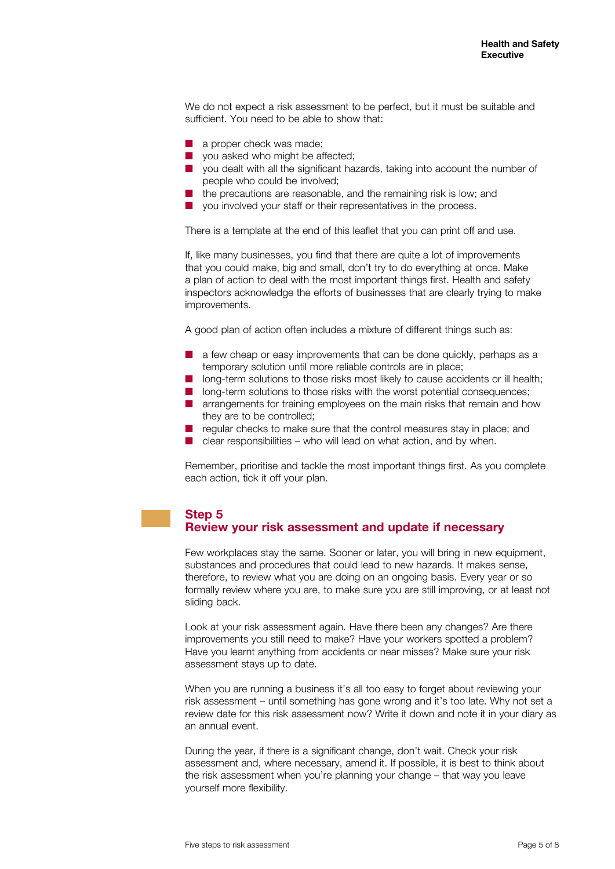We do not expect a risk assessment to be perfect, but it must be suitable and sufficient. You need to be able to show that:

- a proper check was made;
- you asked who might be affected;
- you dealt with all the significant hazards, taking into account the number of people who could be involved;
- the precautions are reasonable, and the remaining risk is low; and
- you involved your staff or their representatives in the process.

There is a template at the end of this leaflet that you can print off and use.

If, like many businesses, you find that there are quite a lot of improvements that you could make, big and small, don't try to do everything at once. Make a plan of action to deal with the most important things first. Health and safety inspectors acknowledge the efforts of businesses that are clearly trying to make improvements.

A good plan of action often includes a mixture of different things such as:

- a few cheap or easy improvements that can be done quickly, perhaps as a temporary solution until more reliable controls are in place;
- long-term solutions to those risks most likely to cause accidents or ill health:
- long-term solutions to those risks with the worst potential consequences;
- arrangements for training employees on the main risks that remain and how they are to be controlled;
- regular checks to make sure that the control measures stay in place; and
- $\Box$  clear responsibilities who will lead on what action, and by when.

Remember, prioritise and tackle the most important things first. As you complete each action, tick it off your plan.

### **Step 5 Review your risk assessment and update if necessary**

Few workplaces stay the same. Sooner or later, you will bring in new equipment, substances and procedures that could lead to new hazards. It makes sense, therefore, to review what you are doing on an ongoing basis. Every year or so formally review where you are, to make sure you are still improving, or at least not sliding back.

Look at your risk assessment again. Have there been any changes? Are there improvements you still need to make? Have your workers spotted a problem? Have you learnt anything from accidents or near misses? Make sure your risk assessment stays up to date.

When you are running a business it's all too easy to forget about reviewing your risk assessment – until something has gone wrong and it's too late. Why not set a review date for this risk assessment now? Write it down and note it in your diary as an annual event.

During the year, if there is a significant change, don't wait. Check your risk assessment and, where necessary, amend it. If possible, it is best to think about the risk assessment when you're planning your change – that way you leave yourself more flexibility.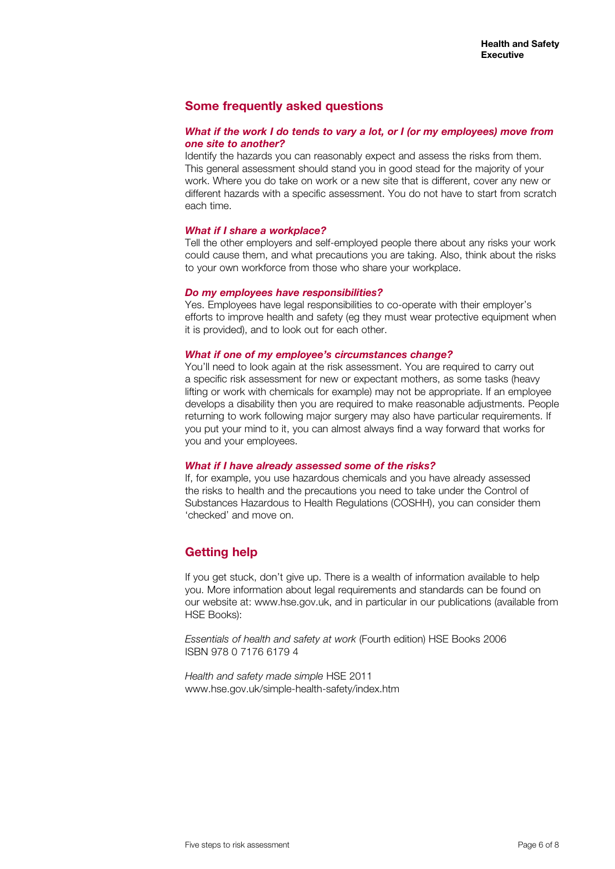## **Some frequently asked questions**

#### *What if the work I do tends to vary a lot, or I (or my employees) move from one site to another?*

Identify the hazards you can reasonably expect and assess the risks from them. This general assessment should stand you in good stead for the majority of your work. Where you do take on work or a new site that is different, cover any new or different hazards with a specific assessment. You do not have to start from scratch each time.

#### *What if I share a workplace?*

Tell the other employers and self-employed people there about any risks your work could cause them, and what precautions you are taking. Also, think about the risks to your own workforce from those who share your workplace.

#### *Do my employees have responsibilities?*

Yes. Employees have legal responsibilities to co-operate with their employer's efforts to improve health and safety (eg they must wear protective equipment when it is provided), and to look out for each other.

#### *What if one of my employee's circumstances change?*

You'll need to look again at the risk assessment. You are required to carry out a specific risk assessment for new or expectant mothers, as some tasks (heavy lifting or work with chemicals for example) may not be appropriate. If an employee develops a disability then you are required to make reasonable adjustments. People returning to work following major surgery may also have particular requirements. If you put your mind to it, you can almost always find a way forward that works for you and your employees.

#### *What if I have already assessed some of the risks?*

If, for example, you use hazardous chemicals and you have already assessed the risks to health and the precautions you need to take under the Control of Substances Hazardous to Health Regulations (COSHH), you can consider them 'checked' and move on.

# **Getting help**

If you get stuck, don't give up. There is a wealth of information available to help you. More information about legal requirements and standards can be found on our website at: www.hse.gov.uk, and in particular in our publications (available from HSE Books):

*Essentials of health and safety at work* (Fourth edition) HSE Books 2006 ISBN 978 0 7176 6179 4

*Health and safety made simple* HSE 2011 www.hse.gov.uk/simple-health-safety/index.htm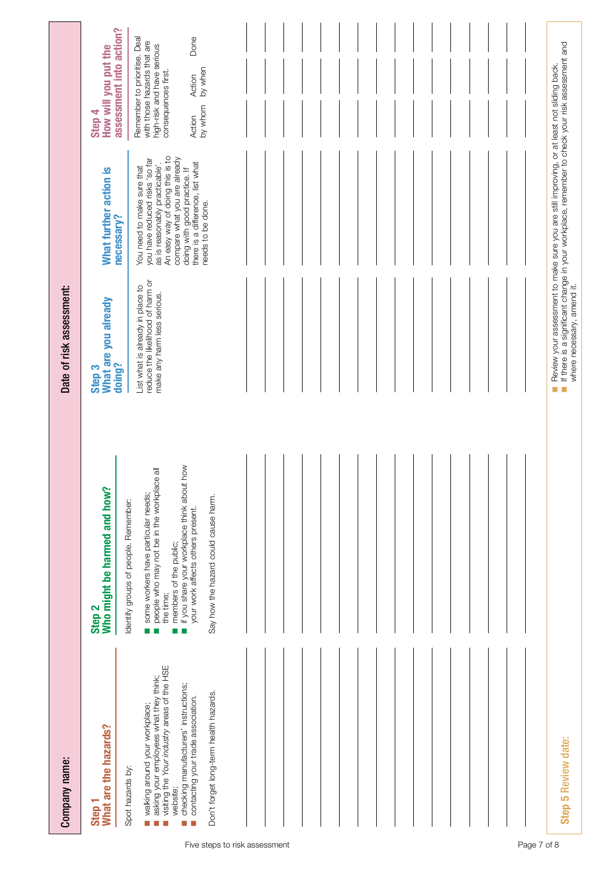| Company name:                                                                                                                                                                                                                                                                          |                                                                                                                                                                                                                                                                                                                                                                  | Date of risk assessment:                                                                            |                                                                                                                                                                                                                                                            |                                                                                                                                                                    |
|----------------------------------------------------------------------------------------------------------------------------------------------------------------------------------------------------------------------------------------------------------------------------------------|------------------------------------------------------------------------------------------------------------------------------------------------------------------------------------------------------------------------------------------------------------------------------------------------------------------------------------------------------------------|-----------------------------------------------------------------------------------------------------|------------------------------------------------------------------------------------------------------------------------------------------------------------------------------------------------------------------------------------------------------------|--------------------------------------------------------------------------------------------------------------------------------------------------------------------|
| What are the hazards?<br>Step <sub>1</sub>                                                                                                                                                                                                                                             | Who might be harmed and how?<br>Step 2                                                                                                                                                                                                                                                                                                                           | What are you already<br>doing?<br>Step <sub>3</sub>                                                 | What further action is<br>necessary?                                                                                                                                                                                                                       | assessment into action?<br>How will you put the<br>Step 4                                                                                                          |
| visiting the Your industry areas of the HSE<br>asking your employees what they think;<br>checking manufacturers' instructions;<br>Don't forget long-term health hazards.<br>contacting your trade association.<br>walking around your workplace;<br>Spot hazards by:<br>website;<br>r. | if you share your workplace think about how<br>$\overline{5}$<br>people who may not be in the workplace<br>some workers have particular needs;<br>Say how the hazard could cause harm.<br>Identify groups of people. Remember:<br>your work affects others present.<br>members of the public;<br>the time;<br>L.<br>$\mathcal{L}_{\mathcal{A}}$<br>$\mathcal{C}$ | reduce the likelihood of harm or<br>List what is already in place to<br>make any harm less serious. | An easy way of doing this is to<br>compare what you are already<br>you have reduced risks 'so far<br>there is a difference, list what<br>as is reasonably practicable'.<br>You need to make sure that<br>doing with good practice. If<br>needs to be done. | Remember to prioritise. Deal<br>Done<br>with those hazards that are<br>high-risk and have serious<br>by when<br>consequences first.<br>Action<br>by whom<br>Action |
|                                                                                                                                                                                                                                                                                        |                                                                                                                                                                                                                                                                                                                                                                  |                                                                                                     |                                                                                                                                                                                                                                                            |                                                                                                                                                                    |
|                                                                                                                                                                                                                                                                                        |                                                                                                                                                                                                                                                                                                                                                                  |                                                                                                     |                                                                                                                                                                                                                                                            |                                                                                                                                                                    |
|                                                                                                                                                                                                                                                                                        |                                                                                                                                                                                                                                                                                                                                                                  |                                                                                                     |                                                                                                                                                                                                                                                            |                                                                                                                                                                    |
| Step 5 Review date:                                                                                                                                                                                                                                                                    |                                                                                                                                                                                                                                                                                                                                                                  | where necessary, amend it.<br><b>COLLEGE</b>                                                        | If there is a significant change in your workplace, remember to check your risk assessment and<br>Review your assessment to make sure you are still improving, or at least not sliding back.                                                               |                                                                                                                                                                    |